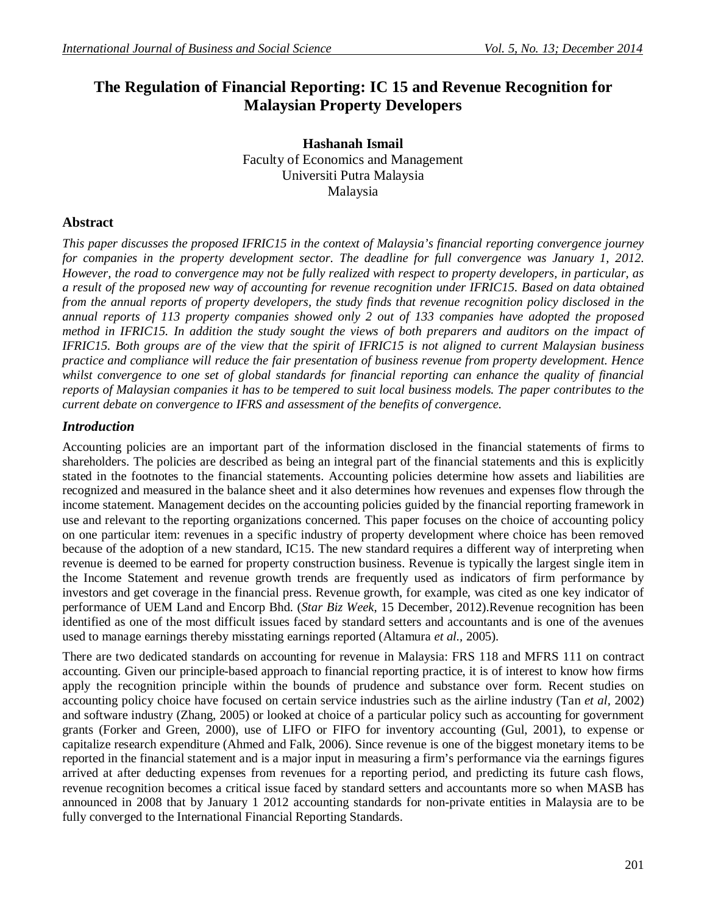# **The Regulation of Financial Reporting: IC 15 and Revenue Recognition for Malaysian Property Developers**

**Hashanah Ismail** Faculty of Economics and Management Universiti Putra Malaysia Malaysia

# **Abstract**

*This paper discusses the proposed IFRIC15 in the context of Malaysia's financial reporting convergence journey for companies in the property development sector. The deadline for full convergence was January 1, 2012. However, the road to convergence may not be fully realized with respect to property developers, in particular, as a result of the proposed new way of accounting for revenue recognition under IFRIC15. Based on data obtained from the annual reports of property developers, the study finds that revenue recognition policy disclosed in the annual reports of 113 property companies showed only 2 out of 133 companies have adopted the proposed method in IFRIC15. In addition the study sought the views of both preparers and auditors on the impact of IFRIC15. Both groups are of the view that the spirit of IFRIC15 is not aligned to current Malaysian business practice and compliance will reduce the fair presentation of business revenue from property development. Hence*  whilst convergence to one set of global standards for financial reporting can enhance the quality of financial *reports of Malaysian companies it has to be tempered to suit local business models. The paper contributes to the current debate on convergence to IFRS and assessment of the benefits of convergence.*

#### *Introduction*

Accounting policies are an important part of the information disclosed in the financial statements of firms to shareholders. The policies are described as being an integral part of the financial statements and this is explicitly stated in the footnotes to the financial statements. Accounting policies determine how assets and liabilities are recognized and measured in the balance sheet and it also determines how revenues and expenses flow through the income statement. Management decides on the accounting policies guided by the financial reporting framework in use and relevant to the reporting organizations concerned. This paper focuses on the choice of accounting policy on one particular item: revenues in a specific industry of property development where choice has been removed because of the adoption of a new standard, IC15. The new standard requires a different way of interpreting when revenue is deemed to be earned for property construction business. Revenue is typically the largest single item in the Income Statement and revenue growth trends are frequently used as indicators of firm performance by investors and get coverage in the financial press. Revenue growth, for example, was cited as one key indicator of performance of UEM Land and Encorp Bhd. (*Star Biz Week*, 15 December, 2012).Revenue recognition has been identified as one of the most difficult issues faced by standard setters and accountants and is one of the avenues used to manage earnings thereby misstating earnings reported (Altamura *et al.,* 2005).

There are two dedicated standards on accounting for revenue in Malaysia: FRS 118 and MFRS 111 on contract accounting. Given our principle-based approach to financial reporting practice, it is of interest to know how firms apply the recognition principle within the bounds of prudence and substance over form. Recent studies on accounting policy choice have focused on certain service industries such as the airline industry (Tan *et al,* 2002) and software industry (Zhang, 2005) or looked at choice of a particular policy such as accounting for government grants (Forker and Green, 2000), use of LIFO or FIFO for inventory accounting (Gul, 2001), to expense or capitalize research expenditure (Ahmed and Falk, 2006). Since revenue is one of the biggest monetary items to be reported in the financial statement and is a major input in measuring a firm's performance via the earnings figures arrived at after deducting expenses from revenues for a reporting period, and predicting its future cash flows, revenue recognition becomes a critical issue faced by standard setters and accountants more so when MASB has announced in 2008 that by January 1 2012 accounting standards for non-private entities in Malaysia are to be fully converged to the International Financial Reporting Standards.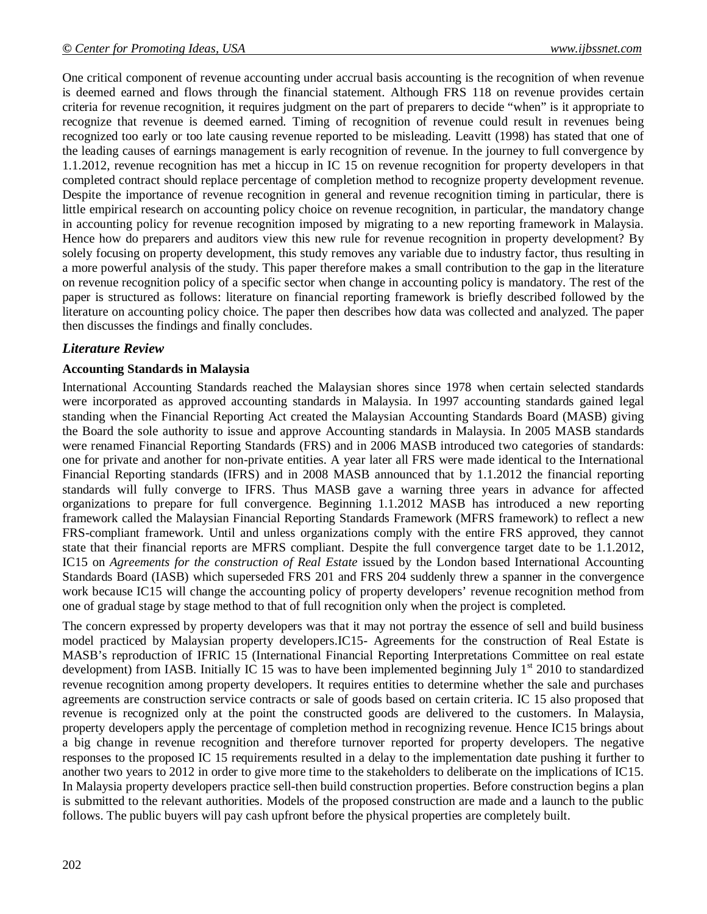One critical component of revenue accounting under accrual basis accounting is the recognition of when revenue is deemed earned and flows through the financial statement. Although FRS 118 on revenue provides certain criteria for revenue recognition, it requires judgment on the part of preparers to decide "when" is it appropriate to recognize that revenue is deemed earned. Timing of recognition of revenue could result in revenues being recognized too early or too late causing revenue reported to be misleading. Leavitt (1998) has stated that one of the leading causes of earnings management is early recognition of revenue. In the journey to full convergence by 1.1.2012, revenue recognition has met a hiccup in IC 15 on revenue recognition for property developers in that completed contract should replace percentage of completion method to recognize property development revenue. Despite the importance of revenue recognition in general and revenue recognition timing in particular, there is little empirical research on accounting policy choice on revenue recognition, in particular, the mandatory change in accounting policy for revenue recognition imposed by migrating to a new reporting framework in Malaysia. Hence how do preparers and auditors view this new rule for revenue recognition in property development? By solely focusing on property development, this study removes any variable due to industry factor, thus resulting in a more powerful analysis of the study. This paper therefore makes a small contribution to the gap in the literature on revenue recognition policy of a specific sector when change in accounting policy is mandatory. The rest of the paper is structured as follows: literature on financial reporting framework is briefly described followed by the literature on accounting policy choice. The paper then describes how data was collected and analyzed. The paper then discusses the findings and finally concludes.

# *Literature Review*

#### **Accounting Standards in Malaysia**

International Accounting Standards reached the Malaysian shores since 1978 when certain selected standards were incorporated as approved accounting standards in Malaysia. In 1997 accounting standards gained legal standing when the Financial Reporting Act created the Malaysian Accounting Standards Board (MASB) giving the Board the sole authority to issue and approve Accounting standards in Malaysia. In 2005 MASB standards were renamed Financial Reporting Standards (FRS) and in 2006 MASB introduced two categories of standards: one for private and another for non-private entities. A year later all FRS were made identical to the International Financial Reporting standards (IFRS) and in 2008 MASB announced that by 1.1.2012 the financial reporting standards will fully converge to IFRS. Thus MASB gave a warning three years in advance for affected organizations to prepare for full convergence. Beginning 1.1.2012 MASB has introduced a new reporting framework called the Malaysian Financial Reporting Standards Framework (MFRS framework) to reflect a new FRS-compliant framework. Until and unless organizations comply with the entire FRS approved, they cannot state that their financial reports are MFRS compliant. Despite the full convergence target date to be 1.1.2012, IC15 on *Agreements for the construction of Real Estate* issued by the London based International Accounting Standards Board (IASB) which superseded FRS 201 and FRS 204 suddenly threw a spanner in the convergence work because IC15 will change the accounting policy of property developers' revenue recognition method from one of gradual stage by stage method to that of full recognition only when the project is completed.

The concern expressed by property developers was that it may not portray the essence of sell and build business model practiced by Malaysian property developers.IC15- Agreements for the construction of Real Estate is MASB's reproduction of IFRIC 15 (International Financial Reporting Interpretations Committee on real estate development) from IASB. Initially IC 15 was to have been implemented beginning July  $1<sup>st</sup>$  2010 to standardized revenue recognition among property developers. It requires entities to determine whether the sale and purchases agreements are construction service contracts or sale of goods based on certain criteria. IC 15 also proposed that revenue is recognized only at the point the constructed goods are delivered to the customers. In Malaysia, property developers apply the percentage of completion method in recognizing revenue. Hence IC15 brings about a big change in revenue recognition and therefore turnover reported for property developers. The negative responses to the proposed IC 15 requirements resulted in a delay to the implementation date pushing it further to another two years to 2012 in order to give more time to the stakeholders to deliberate on the implications of IC15. In Malaysia property developers practice sell-then build construction properties. Before construction begins a plan is submitted to the relevant authorities. Models of the proposed construction are made and a launch to the public follows. The public buyers will pay cash upfront before the physical properties are completely built.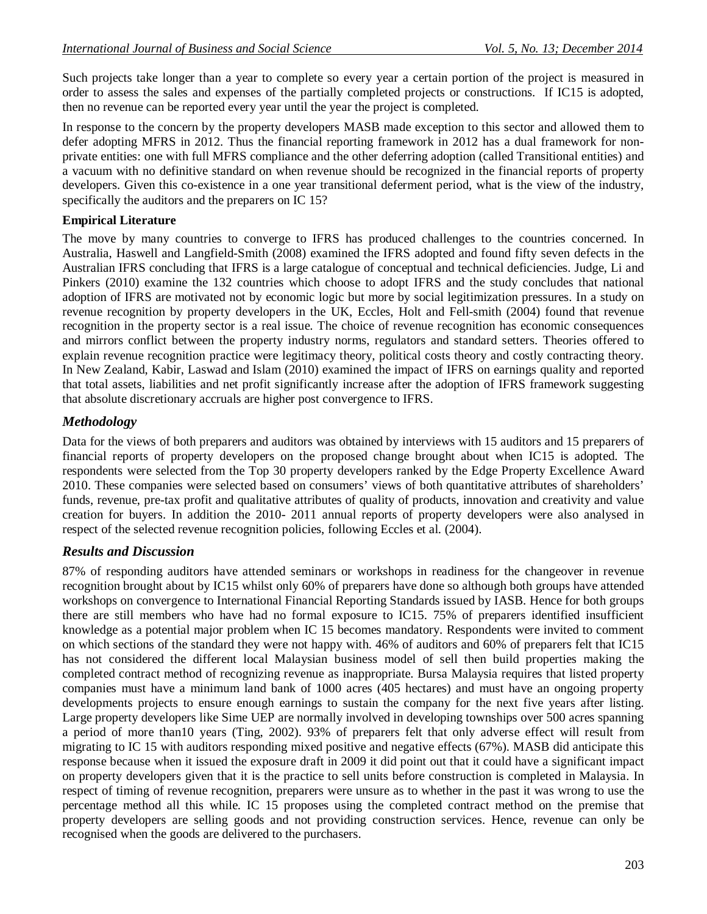Such projects take longer than a year to complete so every year a certain portion of the project is measured in order to assess the sales and expenses of the partially completed projects or constructions. If IC15 is adopted, then no revenue can be reported every year until the year the project is completed.

In response to the concern by the property developers MASB made exception to this sector and allowed them to defer adopting MFRS in 2012. Thus the financial reporting framework in 2012 has a dual framework for nonprivate entities: one with full MFRS compliance and the other deferring adoption (called Transitional entities) and a vacuum with no definitive standard on when revenue should be recognized in the financial reports of property developers. Given this co-existence in a one year transitional deferment period, what is the view of the industry, specifically the auditors and the preparers on IC 15?

### **Empirical Literature**

The move by many countries to converge to IFRS has produced challenges to the countries concerned. In Australia, Haswell and Langfield-Smith (2008) examined the IFRS adopted and found fifty seven defects in the Australian IFRS concluding that IFRS is a large catalogue of conceptual and technical deficiencies. Judge, Li and Pinkers (2010) examine the 132 countries which choose to adopt IFRS and the study concludes that national adoption of IFRS are motivated not by economic logic but more by social legitimization pressures. In a study on revenue recognition by property developers in the UK, Eccles, Holt and Fell-smith (2004) found that revenue recognition in the property sector is a real issue. The choice of revenue recognition has economic consequences and mirrors conflict between the property industry norms, regulators and standard setters. Theories offered to explain revenue recognition practice were legitimacy theory, political costs theory and costly contracting theory. In New Zealand, Kabir, Laswad and Islam (2010) examined the impact of IFRS on earnings quality and reported that total assets, liabilities and net profit significantly increase after the adoption of IFRS framework suggesting that absolute discretionary accruals are higher post convergence to IFRS.

# *Methodology*

Data for the views of both preparers and auditors was obtained by interviews with 15 auditors and 15 preparers of financial reports of property developers on the proposed change brought about when IC15 is adopted. The respondents were selected from the Top 30 property developers ranked by the Edge Property Excellence Award 2010. These companies were selected based on consumers' views of both quantitative attributes of shareholders' funds, revenue, pre-tax profit and qualitative attributes of quality of products, innovation and creativity and value creation for buyers. In addition the 2010- 2011 annual reports of property developers were also analysed in respect of the selected revenue recognition policies, following Eccles et al. (2004).

# *Results and Discussion*

87% of responding auditors have attended seminars or workshops in readiness for the changeover in revenue recognition brought about by IC15 whilst only 60% of preparers have done so although both groups have attended workshops on convergence to International Financial Reporting Standards issued by IASB. Hence for both groups there are still members who have had no formal exposure to IC15. 75% of preparers identified insufficient knowledge as a potential major problem when IC 15 becomes mandatory. Respondents were invited to comment on which sections of the standard they were not happy with. 46% of auditors and 60% of preparers felt that IC15 has not considered the different local Malaysian business model of sell then build properties making the completed contract method of recognizing revenue as inappropriate. Bursa Malaysia requires that listed property companies must have a minimum land bank of 1000 acres (405 hectares) and must have an ongoing property developments projects to ensure enough earnings to sustain the company for the next five years after listing. Large property developers like Sime UEP are normally involved in developing townships over 500 acres spanning a period of more than10 years (Ting, 2002). 93% of preparers felt that only adverse effect will result from migrating to IC 15 with auditors responding mixed positive and negative effects (67%). MASB did anticipate this response because when it issued the exposure draft in 2009 it did point out that it could have a significant impact on property developers given that it is the practice to sell units before construction is completed in Malaysia. In respect of timing of revenue recognition, preparers were unsure as to whether in the past it was wrong to use the percentage method all this while. IC 15 proposes using the completed contract method on the premise that property developers are selling goods and not providing construction services. Hence, revenue can only be recognised when the goods are delivered to the purchasers.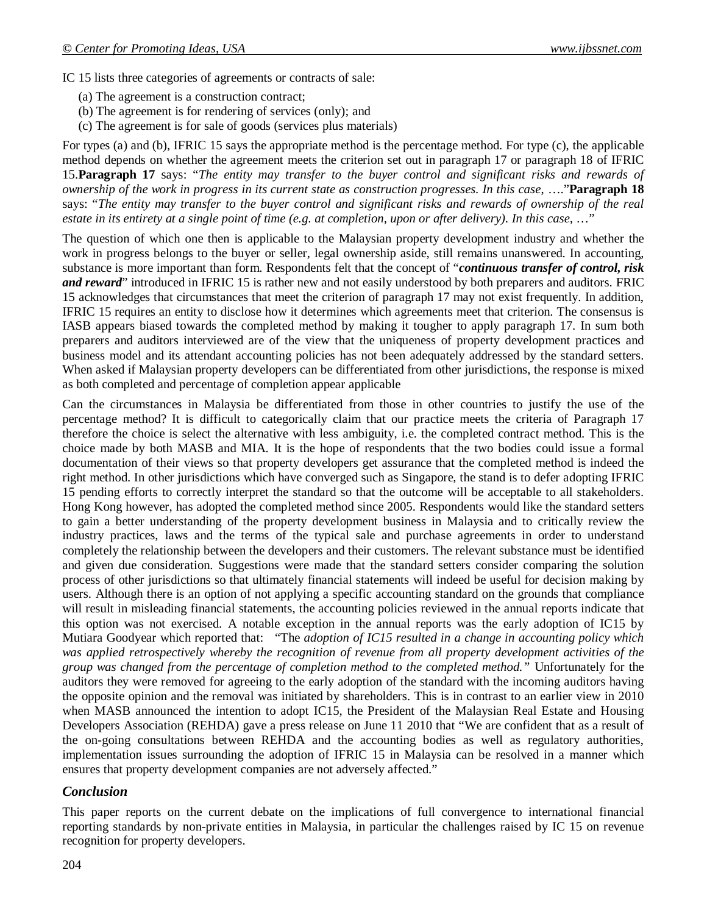IC 15 lists three categories of agreements or contracts of sale:

- (a) The agreement is a construction contract;
- (b) The agreement is for rendering of services (only); and
- (c) The agreement is for sale of goods (services plus materials)

For types (a) and (b), IFRIC 15 says the appropriate method is the percentage method. For type (c), the applicable method depends on whether the agreement meets the criterion set out in paragraph 17 or paragraph 18 of IFRIC 15.**Paragraph 17** says: "*The entity may transfer to the buyer control and significant risks and rewards of ownership of the work in progress in its current state as construction progresses. In this case*, …."**Paragraph 18**  says: "*The entity may transfer to the buyer control and significant risks and rewards of ownership of the real estate in its entirety at a single point of time (e.g. at completion, upon or after delivery). In this case,* …"

The question of which one then is applicable to the Malaysian property development industry and whether the work in progress belongs to the buyer or seller, legal ownership aside, still remains unanswered. In accounting, substance is more important than form. Respondents felt that the concept of "*continuous transfer of control, risk and reward*" introduced in IFRIC 15 is rather new and not easily understood by both preparers and auditors. FRIC 15 acknowledges that circumstances that meet the criterion of paragraph 17 may not exist frequently. In addition, IFRIC 15 requires an entity to disclose how it determines which agreements meet that criterion. The consensus is IASB appears biased towards the completed method by making it tougher to apply paragraph 17. In sum both preparers and auditors interviewed are of the view that the uniqueness of property development practices and business model and its attendant accounting policies has not been adequately addressed by the standard setters. When asked if Malaysian property developers can be differentiated from other jurisdictions, the response is mixed as both completed and percentage of completion appear applicable

Can the circumstances in Malaysia be differentiated from those in other countries to justify the use of the percentage method? It is difficult to categorically claim that our practice meets the criteria of Paragraph 17 therefore the choice is select the alternative with less ambiguity, i.e. the completed contract method. This is the choice made by both MASB and MIA. It is the hope of respondents that the two bodies could issue a formal documentation of their views so that property developers get assurance that the completed method is indeed the right method. In other jurisdictions which have converged such as Singapore, the stand is to defer adopting IFRIC 15 pending efforts to correctly interpret the standard so that the outcome will be acceptable to all stakeholders. Hong Kong however, has adopted the completed method since 2005. Respondents would like the standard setters to gain a better understanding of the property development business in Malaysia and to critically review the industry practices, laws and the terms of the typical sale and purchase agreements in order to understand completely the relationship between the developers and their customers. The relevant substance must be identified and given due consideration. Suggestions were made that the standard setters consider comparing the solution process of other jurisdictions so that ultimately financial statements will indeed be useful for decision making by users. Although there is an option of not applying a specific accounting standard on the grounds that compliance will result in misleading financial statements, the accounting policies reviewed in the annual reports indicate that this option was not exercised. A notable exception in the annual reports was the early adoption of IC15 by Mutiara Goodyear which reported that: "The *adoption of IC15 resulted in a change in accounting policy which was applied retrospectively whereby the recognition of revenue from all property development activities of the group was changed from the percentage of completion method to the completed method."* Unfortunately for the auditors they were removed for agreeing to the early adoption of the standard with the incoming auditors having the opposite opinion and the removal was initiated by shareholders. This is in contrast to an earlier view in 2010 when MASB announced the intention to adopt IC15, the President of the Malaysian Real Estate and Housing Developers Association (REHDA) gave a press release on June 11 2010 that "We are confident that as a result of the on-going consultations between REHDA and the accounting bodies as well as regulatory authorities, implementation issues surrounding the adoption of IFRIC 15 in Malaysia can be resolved in a manner which ensures that property development companies are not adversely affected."

# *Conclusion*

This paper reports on the current debate on the implications of full convergence to international financial reporting standards by non-private entities in Malaysia, in particular the challenges raised by IC 15 on revenue recognition for property developers.